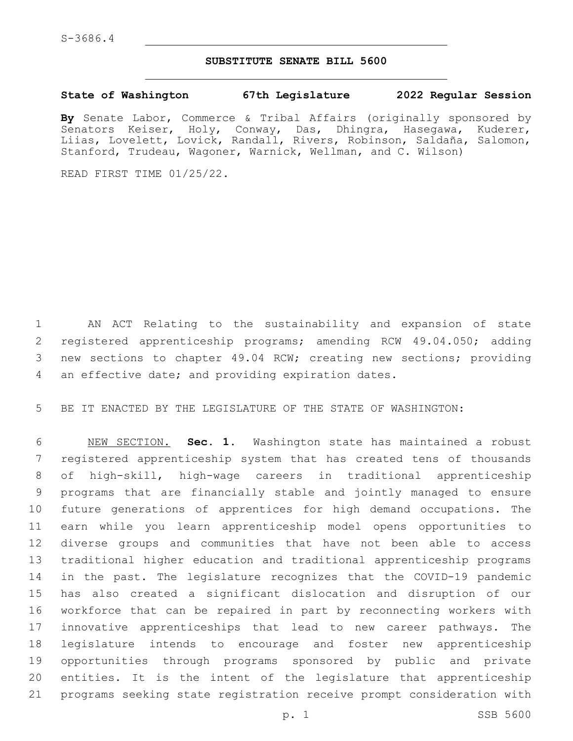## **SUBSTITUTE SENATE BILL 5600**

**State of Washington 67th Legislature 2022 Regular Session**

**By** Senate Labor, Commerce & Tribal Affairs (originally sponsored by Senators Keiser, Holy, Conway, Das, Dhingra, Hasegawa, Kuderer, Liias, Lovelett, Lovick, Randall, Rivers, Robinson, Saldaña, Salomon, Stanford, Trudeau, Wagoner, Warnick, Wellman, and C. Wilson)

READ FIRST TIME 01/25/22.

 AN ACT Relating to the sustainability and expansion of state 2 registered apprenticeship programs; amending RCW 49.04.050; adding new sections to chapter 49.04 RCW; creating new sections; providing 4 an effective date; and providing expiration dates.

BE IT ENACTED BY THE LEGISLATURE OF THE STATE OF WASHINGTON:

 NEW SECTION. **Sec. 1.** Washington state has maintained a robust registered apprenticeship system that has created tens of thousands of high-skill, high-wage careers in traditional apprenticeship programs that are financially stable and jointly managed to ensure future generations of apprentices for high demand occupations. The earn while you learn apprenticeship model opens opportunities to diverse groups and communities that have not been able to access traditional higher education and traditional apprenticeship programs in the past. The legislature recognizes that the COVID-19 pandemic has also created a significant dislocation and disruption of our workforce that can be repaired in part by reconnecting workers with innovative apprenticeships that lead to new career pathways. The legislature intends to encourage and foster new apprenticeship opportunities through programs sponsored by public and private entities. It is the intent of the legislature that apprenticeship programs seeking state registration receive prompt consideration with

p. 1 SSB 5600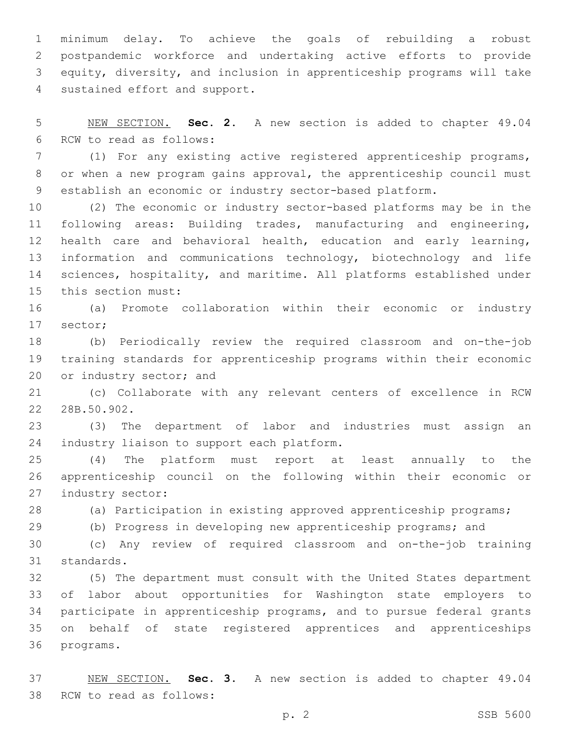minimum delay. To achieve the goals of rebuilding a robust postpandemic workforce and undertaking active efforts to provide equity, diversity, and inclusion in apprenticeship programs will take 4 sustained effort and support.

 NEW SECTION. **Sec. 2.** A new section is added to chapter 49.04 6 RCW to read as follows:

 (1) For any existing active registered apprenticeship programs, or when a new program gains approval, the apprenticeship council must establish an economic or industry sector-based platform.

 (2) The economic or industry sector-based platforms may be in the following areas: Building trades, manufacturing and engineering, health care and behavioral health, education and early learning, information and communications technology, biotechnology and life sciences, hospitality, and maritime. All platforms established under 15 this section must:

 (a) Promote collaboration within their economic or industry 17 sector;

 (b) Periodically review the required classroom and on-the-job training standards for apprenticeship programs within their economic 20 or industry sector; and

 (c) Collaborate with any relevant centers of excellence in RCW 22 28B.50.902.

 (3) The department of labor and industries must assign an 24 industry liaison to support each platform.

 (4) The platform must report at least annually to the apprenticeship council on the following within their economic or 27 industry sector:

(a) Participation in existing approved apprenticeship programs;

(b) Progress in developing new apprenticeship programs; and

 (c) Any review of required classroom and on-the-job training 31 standards.

 (5) The department must consult with the United States department of labor about opportunities for Washington state employers to participate in apprenticeship programs, and to pursue federal grants on behalf of state registered apprentices and apprenticeships 36 programs.

 NEW SECTION. **Sec. 3.** A new section is added to chapter 49.04 38 RCW to read as follows: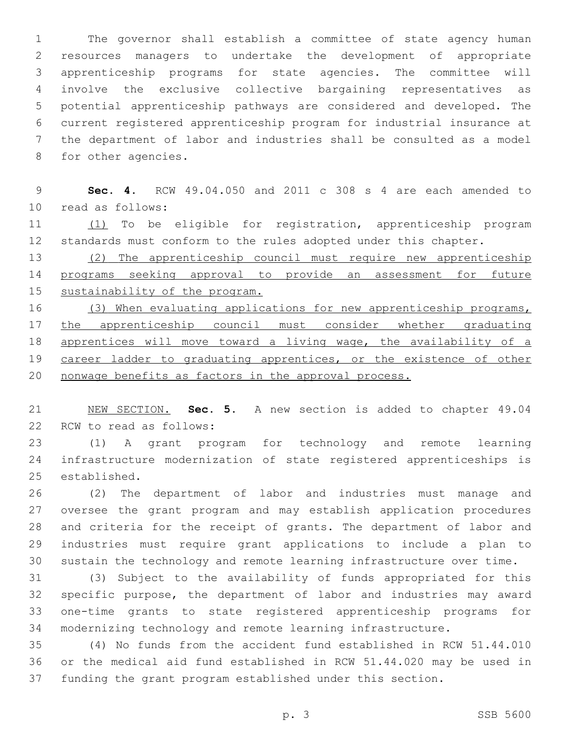The governor shall establish a committee of state agency human resources managers to undertake the development of appropriate apprenticeship programs for state agencies. The committee will involve the exclusive collective bargaining representatives as potential apprenticeship pathways are considered and developed. The current registered apprenticeship program for industrial insurance at the department of labor and industries shall be consulted as a model 8 for other agencies.

 **Sec. 4.** RCW 49.04.050 and 2011 c 308 s 4 are each amended to 10 read as follows:

 (1) To be eligible for registration, apprenticeship program standards must conform to the rules adopted under this chapter.

 (2) The apprenticeship council must require new apprenticeship programs seeking approval to provide an assessment for future sustainability of the program.

16 (3) When evaluating applications for new apprenticeship programs, 17 the apprenticeship council must consider whether graduating apprentices will move toward a living wage, the availability of a 19 career ladder to graduating apprentices, or the existence of other nonwage benefits as factors in the approval process.

 NEW SECTION. **Sec. 5.** A new section is added to chapter 49.04 22 RCW to read as follows:

 (1) A grant program for technology and remote learning infrastructure modernization of state registered apprenticeships is 25 established.

 (2) The department of labor and industries must manage and oversee the grant program and may establish application procedures and criteria for the receipt of grants. The department of labor and industries must require grant applications to include a plan to sustain the technology and remote learning infrastructure over time.

 (3) Subject to the availability of funds appropriated for this specific purpose, the department of labor and industries may award one-time grants to state registered apprenticeship programs for modernizing technology and remote learning infrastructure.

 (4) No funds from the accident fund established in RCW 51.44.010 or the medical aid fund established in RCW 51.44.020 may be used in funding the grant program established under this section.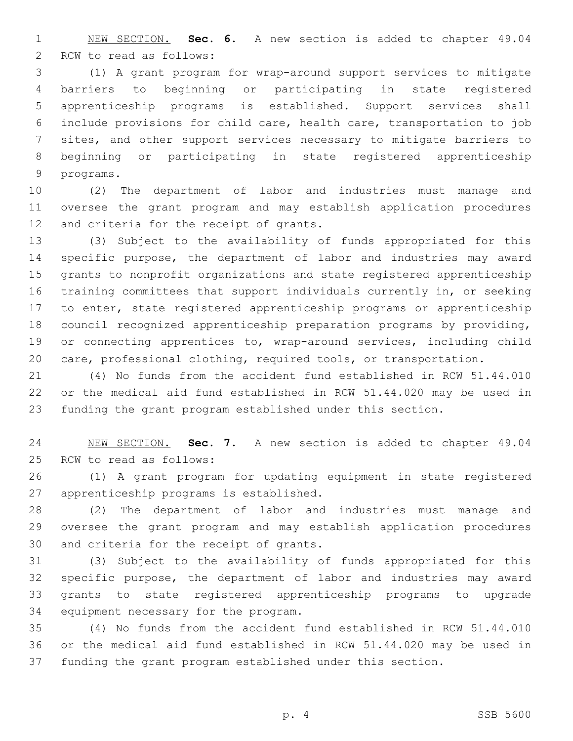NEW SECTION. **Sec. 6.** A new section is added to chapter 49.04 2 RCW to read as follows:

 (1) A grant program for wrap-around support services to mitigate barriers to beginning or participating in state registered apprenticeship programs is established. Support services shall include provisions for child care, health care, transportation to job sites, and other support services necessary to mitigate barriers to beginning or participating in state registered apprenticeship 9 programs.

 (2) The department of labor and industries must manage and oversee the grant program and may establish application procedures 12 and criteria for the receipt of grants.

 (3) Subject to the availability of funds appropriated for this specific purpose, the department of labor and industries may award grants to nonprofit organizations and state registered apprenticeship training committees that support individuals currently in, or seeking to enter, state registered apprenticeship programs or apprenticeship council recognized apprenticeship preparation programs by providing, or connecting apprentices to, wrap-around services, including child care, professional clothing, required tools, or transportation.

 (4) No funds from the accident fund established in RCW 51.44.010 or the medical aid fund established in RCW 51.44.020 may be used in funding the grant program established under this section.

 NEW SECTION. **Sec. 7.** A new section is added to chapter 49.04 25 RCW to read as follows:

 (1) A grant program for updating equipment in state registered 27 apprenticeship programs is established.

 (2) The department of labor and industries must manage and oversee the grant program and may establish application procedures 30 and criteria for the receipt of grants.

 (3) Subject to the availability of funds appropriated for this specific purpose, the department of labor and industries may award grants to state registered apprenticeship programs to upgrade 34 equipment necessary for the program.

 (4) No funds from the accident fund established in RCW 51.44.010 or the medical aid fund established in RCW 51.44.020 may be used in funding the grant program established under this section.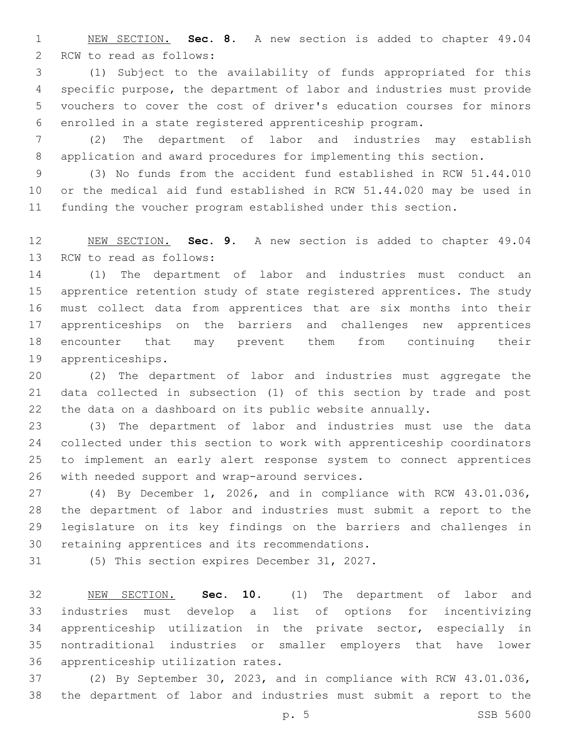NEW SECTION. **Sec. 8.** A new section is added to chapter 49.04 2 RCW to read as follows:

 (1) Subject to the availability of funds appropriated for this specific purpose, the department of labor and industries must provide vouchers to cover the cost of driver's education courses for minors enrolled in a state registered apprenticeship program.

 (2) The department of labor and industries may establish application and award procedures for implementing this section.

 (3) No funds from the accident fund established in RCW 51.44.010 or the medical aid fund established in RCW 51.44.020 may be used in funding the voucher program established under this section.

 NEW SECTION. **Sec. 9.** A new section is added to chapter 49.04 13 RCW to read as follows:

 (1) The department of labor and industries must conduct an apprentice retention study of state registered apprentices. The study must collect data from apprentices that are six months into their apprenticeships on the barriers and challenges new apprentices encounter that may prevent them from continuing their 19 apprenticeships.

 (2) The department of labor and industries must aggregate the data collected in subsection (1) of this section by trade and post the data on a dashboard on its public website annually.

 (3) The department of labor and industries must use the data collected under this section to work with apprenticeship coordinators to implement an early alert response system to connect apprentices 26 with needed support and wrap-around services.

 (4) By December 1, 2026, and in compliance with RCW 43.01.036, the department of labor and industries must submit a report to the legislature on its key findings on the barriers and challenges in 30 retaining apprentices and its recommendations.

31 (5) This section expires December 31, 2027.

 NEW SECTION. **Sec. 10.** (1) The department of labor and industries must develop a list of options for incentivizing apprenticeship utilization in the private sector, especially in nontraditional industries or smaller employers that have lower apprenticeship utilization rates.

 (2) By September 30, 2023, and in compliance with RCW 43.01.036, the department of labor and industries must submit a report to the